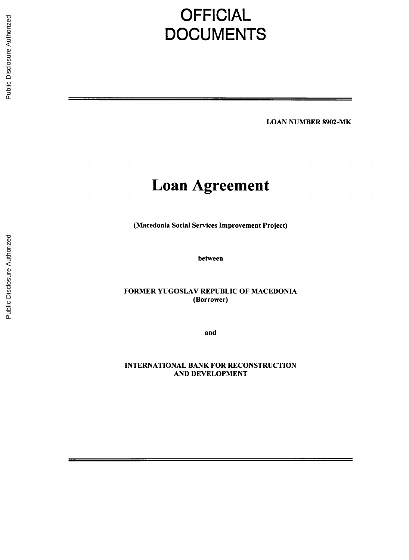# **OFFICIAL DOCUMENTS**

**LOAN NUMBER** 8902-MK

## **Loan Agreement**

(Macedonia Social Services Improvement Project)

between

FORMER **YUGOSLAV** REPUBLIC OF **MACEDONIA** (Borrower)

and

**INTERNATIONAL** BANK FOR RECONSTRUCTION **AND DEVELOPMENT**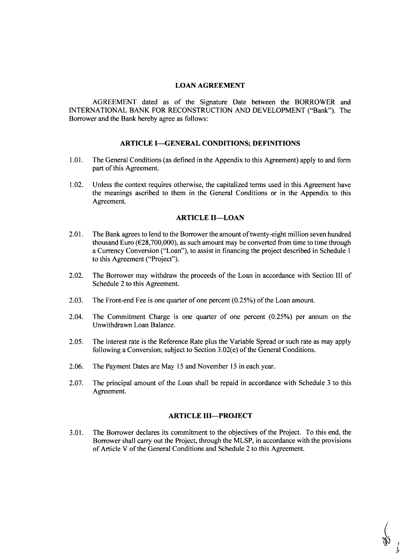#### **LOAN AGREEMENT**

**AGREEMENT** dated as of the Signature Date between the BORROWER and **INTERNATIONAL** BANK FOR **RECONSTRUCTION AND DEVELOPMENT** ("Bank"). The Borrower and the Bank hereby agree as follows:

#### **ARTICLE I-GENERAL CONDITIONS: DEFINITIONS**

- **1.01.** The General Conditions (as defined in the Appendix to this Agreement) apply to and form part of this Agreement.
- 1.02. Unless the context requires otherwise, the capitalized terms used in this Agreement have the meanings ascribed to them in the General Conditions or in the Appendix to this Agreement.

#### **ARTICLE II-LOAN**

- 2.01. The Bank agrees to lend to the Borrower the amount of twenty-eight million seven hundred thousand Euro **(E28,700,000),** as such amount may be converted from time to time through a Currency Conversion ("Loan"), to assist in financing the project described in Schedule **<sup>I</sup>** to this Agreement ("Project").
- 2.02. The Borrower may withdraw the proceeds of the Loan in accordance with Section **III** of Schedule 2 to this Agreement.
- **2.03.** The Front-end Fee is one quarter of one percent *(0.25%)* of the Loan amount.
- 2.04. The Commitment Charge is one quarter of one percent **(0.25%)** per annum on the Unwithdrawn Loan Balance.
- **2.05.** The interest rate is the Reference Rate plus the Variable Spread or such rate as may apply following a Conversion; subject to Section 3.02(e) of the General Conditions.
- **2.06.** The Payment Dates are May **15** and November **15** in each year.
- **2.07.** The principal amount of the Loan shall be repaid in accordance with Schedule **3** to this Agreement.

#### **ARTICLE 111-PROJECT**

**3.01.** The Borrower declares its commitment to the objectives of the Project. To this end, the Borrower shall carry out the Project, through the MLSP, in accordance with the provisions of Article V of the General Conditions and Schedule 2 to this Agreement.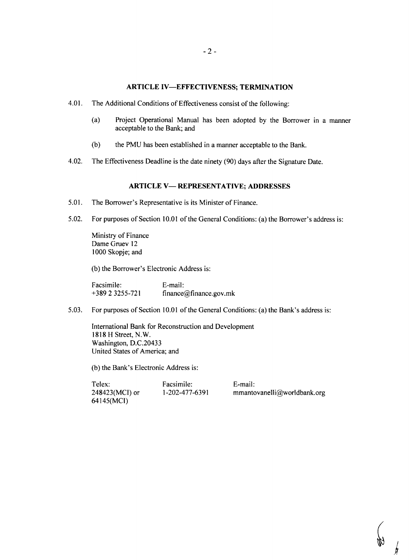#### **ARTICLE IV-EFFECTIVENESS; TERMINATION**

- 4.01. The Additional Conditions of Effectiveness consist of the following:
	- (a) Project Operational Manual has been adopted **by** the Borrower in a manner acceptable to the Bank; and
	- **(b)** the **PMU** has been established in a manner acceptable to the Bank.
- 4.02. The Effectiveness Deadline is the date ninety **(90)** days after the Signature Date.

## **ARTICLE** V- **REPRESENTATIVE; ADDRESSES**

- **5.01.** The Borrower's Representative is its Minister of Finance.
- **5.02.** For purposes of Section **10.01** of the General Conditions: (a) the Borrower's address is:

Ministry of Finance Dame Gruev 12 **1000 Skopje;** and

**(b)** the Borrower's Electronic Address is:

Facsimile: E-mail: **+389** 2 **3255-721** finance@finance.gov.mk

**5.03.** For purposes of Section **10.01** of the General Conditions: (a) the Bank's address is:

International Bank for Reconstruction and Development **1818** H Street, N.W. Washington, D.C.20433 United States of America; and

**(b)** the Bank's Electronic Address is:

Telex: Facsimile: E-mail: 248423(MCI) or **1-202-477-6391** mmantovanelli@worldbank.org 64145(MCI)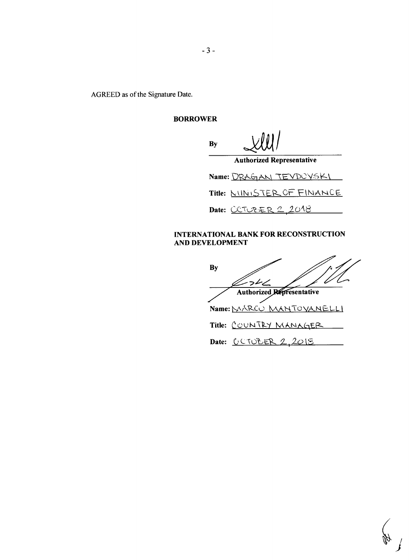AGREED as of the Signature Date.

## BORROWER

**By**

| By                     | xw/                              |  |  |  |
|------------------------|----------------------------------|--|--|--|
|                        | <b>Authorized Representative</b> |  |  |  |
| Name: DRAGAN TEVDCYSKI |                                  |  |  |  |
|                        | Title: MINISTER OF FINANCE       |  |  |  |
|                        | Date: <u>CCTUBER 2,2018</u>      |  |  |  |

## **INTERNATIONAL** BANK FOR **RECONSTRUCTION AND DEVELOPMENT**

**By** ショレム ∠ Authorized Representative Name: MARCU MANTOYANELLI Title: COUNTRY MANAGER Date: <u>CCTOBER 2, 2015</u>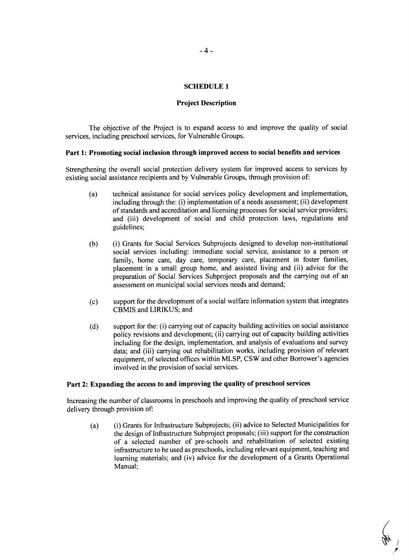#### **SCHEDULE 1**

#### **Project Description**

The objective of the Project is to expand access to and improve the quality of social services, including preschool services, for Vulnerable Groups.

#### **Part 1: Promoting social inclusion through improved access to social benefits and services**

Strengthening the overall social protection delivery system for improved access to services **by** existing social assistance recipients and **by** Vulnerable Groups, through provision of:

- (a) technical assistance for social services policy development and implementation, including through the: (i) implementation of a needs assessment; (ii) development of standards and accreditation and licensing processes for social service providers; and (iii) development of social and child protection laws, regulations and guidelines;
- **(b)** (i) Grants for Social Services Subprojects designed to develop non-institutional social services including: immediate social service, assistance to a person or family, home care, day care, temporary care, placement in foster families, placement in a small group home, and assisted living and (ii) advice for the preparation of Social Services Subproject proposals and the carrying out of an assessment on municipal social services needs and demand;
- **(c)** support for the development of a social welfare information system that integrates CBMIS and LIRIKUS; and
- **(d)** support for the: (i) carrying out of capacity building activities on social assistance policy revisions and development; (ii) carrying out of capacity building activities including for the design, implementation, and analysis of evaluations and survey data; and (iii) carrying out rehabilitation works, including provision of relevant equipment, of selected offices within MLSP, CSW and other Borrower's agencies involved in the provision of social services.

#### **Part 2: Expanding the access to and improving the quality of preschool services**

Increasing the number of classrooms in preschools and improving **the** quality **of** preschool service delivery through provision of:

(a) (i) Grants for Infrastructure Subprojects; (ii) advice to Selected Municipalities for the design of Infrastructure Subproject proposals; (iii) support for the construction of a selected number of pre-schools and rehabilitation of selected existing infrastructure to be used as preschools, including relevant equipment, teaching and learning materials; and (iv) advice for the development of a Grants Operational Manual;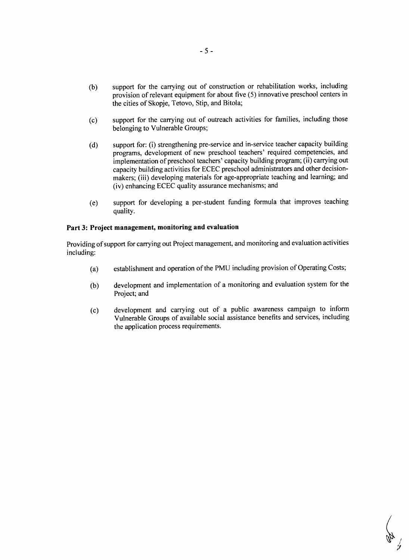- **(b)** support for the carrying out of construction or rehabilitation works, including provision of relevant equipment for about five **(5)** innovative preschool centers in the cities of Skopje, Tetovo, Stip, and Bitola;
- **(c)** support for the carrying out of outreach activities for families, including those belonging to Vulnerable Groups;
- **(d)** support for: (i) strengthening pre-service and in-service teacher capacity building programs, development of new preschool teachers' required competencies, and implementation of preschool teachers' capacity building program; (ii) carrying out capacity building activities for **ECEC** preschool administrators and other decisionmakers; (iii) developing materials for age-appropriate teaching and learning; and (iv) enhancing **ECEC** quality assurance mechanisms; and
- (e) support for developing a per-student funding formula that improves teaching quality.

## **Part 3: Project management, monitoring and evaluation**

Providing of support for carrying out Project management, and monitoring and evaluation activities including:

- (a) establishment and operation of the **PMU** including provision of Operating Costs;
- **(b)** development and implementation of a monitoring and evaluation system for the Project; and
- **(c)** development and carrying out of a public awareness campaign to inform Vulnerable Groups of available social assistance benefits and services, including the application process requirements.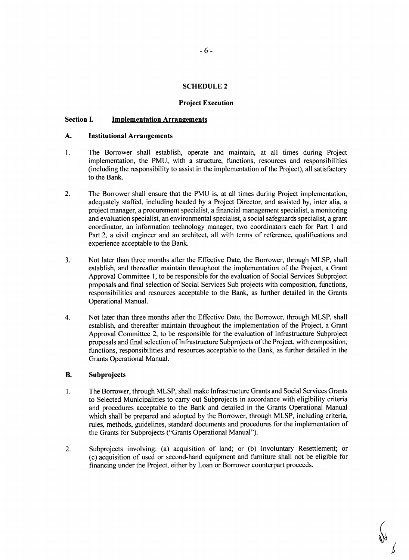#### **SCHEDULE 2**

#### **Project Execution**

#### **Section I. Implementation Arrangements**

#### **A. Institutional Arrangements**

- 1. The Borrower shall establish, operate and maintain, at all times during Project implementation, the **PMU,** with a structure, functions, resources and responsibilities (including the responsibility to assist in the implementation of the Project), all satisfactory to the Bank.
- 2. The Borrower shall ensure that the **PNU** is, at all times during Project implementation, adequately staffed, including headed **by** a Project Director, and assisted **by,** inter alia, a project manager, a procurement specialist, a financial management specialist, a monitoring and evaluation specialist, an environmental specialist, a social safeguards specialist, a grant coordinator, an information technology manager, two coordinators each for Part **I** and Part 2, a civil engineer and an architect, all with terms of reference, qualifications and experience acceptable to the Bank.
- **3.** Not later than three months after the Effective Date, the Borrower, through MLSP, shall establish, and thereafter maintain throughout the implementation of the Project, a Grant Approval Committee **1,** to be responsible for the evaluation of Social Services Subproject proposals and final selection of Social Services Sub projects with composition, functions, responsibilities and resources acceptable to the Bank, as further detailed in the Grants Operational Manual.
- 4. Not later than three months after the Effective Date, the Borrower, through MLSP, shall establish, and thereafter maintain throughout the implementation of the Project, a Grant Approval Committee 2, to be responsible for the evaluation of Infrastructure Subproject proposals and final selection of Infrastructure Subprojects of the Project, with composition, functions, responsibilities and resources acceptable to the Bank, as further detailed in the Grants Operational Manual.

## B. Subprojects

- <sup>1</sup>**.** The Borrower, through MLSP, shall make Infrastructure Grants and Social Services Grants to Selected Municipalities to carry out Subprojects in accordance with eligibility criteria and procedures acceptable to the Bank and detailed in the Grants Operational Manual which shall be prepared and adopted **by** the Borrower, through MLSP, including criteria, rules, methods, guidelines, standard documents and procedures for the implementation of the Grants for Subprojects ("Grants Operational Manual").
- 2. Subprojects involving: (a) acquisition of land; or **(b)** Involuntary Resettlement; or (c) acquisition of used or second-hand equipment and furniture shall not be eligible for financing under the Project, either **by** Loan or Borrower counterpart proceeds.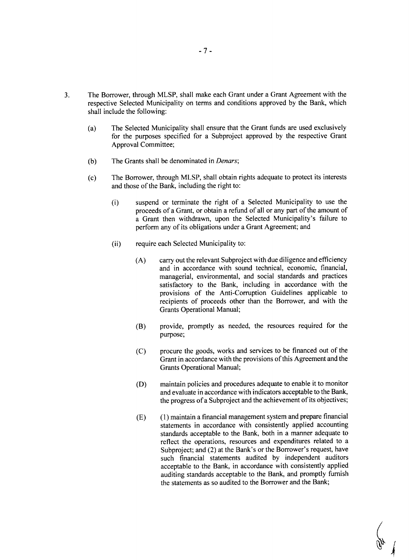- **3.** The Borrower, through MLSP, shall make each Grant under a Grant Agreement with the respective Selected Municipality on terms and conditions approved **by** the Bank, which shall include the following:
	- (a) The Selected Municipality shall ensure that the Grant funds are used exclusively for the purposes specified for a Subproject approved **by** the respective Grant Approval Committee;
	- **(b)** The Grants shall be denominated in *Denars;*
	- **(c)** The Borrower, through MLSP, shall obtain rights adequate to protect its interests and those of the Bank, including the right to:
		- (i) suspend or terminate the right of a Selected Municipality to use the proceeds of a Grant, or obtain a refund of all or any part of the amount of a Grant then withdrawn, upon the Selected Municipality's failure to perform any of its obligations under a Grant Agreement; and
		- (ii) require each Selected Municipality to:
			- **(A)** carry out the relevant Subproject with due diligence and efficiency and in accordance with sound technical, economic, financial, managerial, environmental, and social standards and practices satisfactory to the Bank, including in accordance with the provisions of the Anti-Corruption Guidelines applicable to recipients of proceeds other than the Borrower, and with the Grants Operational Manual;
			- (B) provide, promptly as needed, the resources required for the purpose;
			- **(C)** procure the goods, works and services to be financed out of the Grant in accordance with the provisions of this Agreement and the Grants Operational Manual;
			- **(D)** maintain policies and procedures adequate to enable it to monitor and evaluate in accordance with indicators acceptable to the Bank, the progress of a Subproject and the achievement of its objectives;
			- **(E) (1)** maintain a financial management system and prepare financial statements in accordance with consistently applied accounting standards acceptable to the Bank, both in a manner adequate to reflect the operations, resources and expenditures related to a Subproject; and (2) at the Bank's or the Borrower's request, have such financial statements audited **by** independent auditors acceptable to the Bank, in accordance with consistently applied auditing standards acceptable to the Bank, and promptly furnish the statements as so audited to the Borrower and the Bank;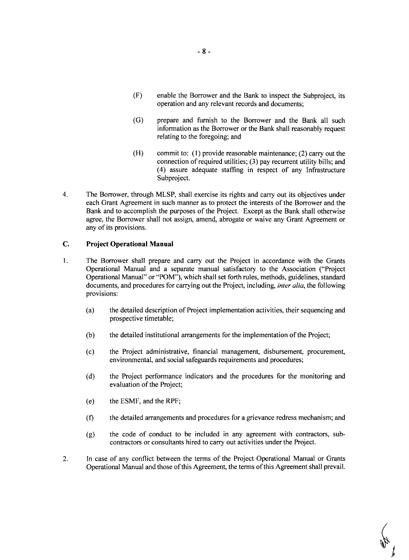- (F) enable the Borrower and the Bank to inspect the Subproject, its operation and any relevant records and documents;
- **(G)** prepare and furnish to the Borrower and the Bank all such information as the Borrower or the Bank shall reasonably request relating to the foregoing; and
- (H) commit to: **(1)** provide reasonable maintenance; (2) carry out the connection of required utilities; **(3)** pay recurrent utility bills; and (4) assure adequate staffing in respect of any Infrastructure Subproject.
- 4. The Borrower, through MLSP, shall exercise its rights and carry out its objectives under each Grant Agreement in such manner as to protect the interests of the Borrower and the Bank and to accomplish the purposes of the Project. Except as the Bank shall otherwise agree, the Borrower shall not assign, amend, abrogate or waive any Grant Agreement or any of its provisions.

## **C.** Project Operational Manual

- <sup>1</sup>**.** The Borrower shall prepare and carry out the Project in accordance with the Grants Operational Manual and a separate manual satisfactory to the Association ("Project Operational Manual" or "POM"), which shall set forth rules, methods, guidelines, standard documents, and procedures for carrying out the Project, including, *inter alia,* the following provisions:
	- (a) the detailed description of Project implementation activities, their sequencing and prospective timetable;
	- **(b)** the detailed institutional arrangements for the implementation of the Project;
	- (c) the Project administrative, financial management, disbursement, procurement, environmental, and social safeguards requirements and procedures;
	- **(d)** the Project performance indicators and the procedures for the monitoring and evaluation of the Project;
	- (e) the **ESMF,** and the RPF;
	- **(f)** the detailed arrangements and procedures for a grievance redress mechanism; and
	- **(g)** the code of conduct to be included in any agreement with contractors, subcontractors or consultants hired to carry out activities under the Project.
- 2. In case of any conflict between the terms of the Project Operational Manual or Grants Operational Manual and those of this Agreement, the terms of this Agreement shall prevail.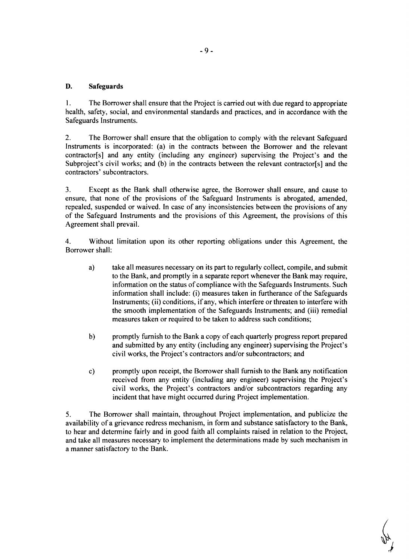## **D.** Safeguards

**I.** The Borrower shall ensure that the Project is carried out with due regard to appropriate health, safety, social, and environmental standards and practices, and in accordance with the Safeguards Instruments.

2. The Borrower shall ensure that the obligation to comply with the relevant Safeguard Instruments is incorporated: (a) in the contracts between the Borrower and the relevant contractor[s] and any entity (including any engineer) supervising the Project's and the Subproject's civil works; and (b) in the contracts between the relevant contractor<sup>[s]</sup> and the contractors' subcontractors.

**3.** Except as the Bank shall otherwise agree, the Borrower shall ensure, and cause to ensure, that none of the provisions of the Safeguard Instruments is abrogated, amended, repealed, suspended or waived. In case of any inconsistencies between the provisions of any of the Safeguard Instruments and the provisions of this Agreement, the provisions of this Agreement shall prevail.

4. Without limitation upon its other reporting obligations under this Agreement, the Borrower shall:

- a) take all measures necessary on its part to regularly collect, compile, and submit to the Bank, and promptly in a separate report whenever the Bank may require, information on the status of compliance with the Safeguards Instruments. Such information shall include: (i) measures taken in furtherance of the Safeguards Instruments; (ii) conditions, if any, which interfere or threaten to interfere with the smooth implementation of the Safeguards Instruments; and (iii) remedial measures taken or required to be taken to address such conditions;
- **b)** promptly furnish to the Bank a copy of each quarterly progress report prepared and submitted **by** any entity (including any engineer) supervising the Project's civil works, the Project's contractors and/or subcontractors; and
- **c)** promptly upon receipt, the Borrower shall furnish to the Bank any notification received from any entity (including any engineer) supervising the Project's civil works, the Project's contractors and/or subcontractors regarding any incident that have might occurred during Project implementation.

**5.** The Borrower shall maintain, throughout Project implementation, and publicize the availability of a grievance redress mechanism, in form and substance satisfactory to the Bank, to hear and determine fairly and in good faith all complaints raised in relation to the Project, and take all measures necessary to implement the determinations made **by** such mechanism in a manner satisfactory to the Bank.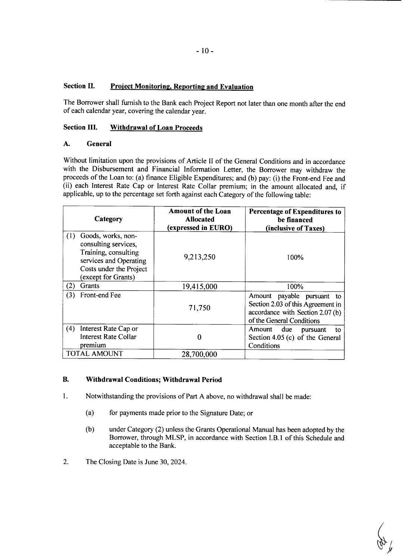## **Section II. Project Monitoring. Reporting and Evaluation**

The Borrower shall furnish to the Bank each Project Report not later than one month after the end of each calendar year, covering the calendar year.

## **Section III. Withdrawal of Loan Proceeds**

## **A. General**

Without limitation upon the provisions of Article II of the General Conditions and in accordance with the Disbursement and Financial Information Letter, the Borrower may withdraw the proceeds of the Loan to: (a) finance Eligible Expenditures; and **(b)** pay: (i) the Front-end Fee and (ii) each Interest Rate Cap or Interest Rate Collar premium; in the amount allocated and, if applicable, up to the percentage set forth against each Category of the following table:

| Category                                                                                                                                              | <b>Amount of the Loan</b><br><b>Allocated</b><br>(expressed in EURO) | Percentage of Expenditures to<br>be financed<br>(inclusive of Taxes)                                                                   |
|-------------------------------------------------------------------------------------------------------------------------------------------------------|----------------------------------------------------------------------|----------------------------------------------------------------------------------------------------------------------------------------|
| (1)<br>Goods, works, non-<br>consulting services,<br>Training, consulting<br>services and Operating<br>Costs under the Project<br>(except for Grants) | 9,213,250                                                            | 100%                                                                                                                                   |
| (2)<br>Grants                                                                                                                                         | 19,415,000                                                           | 100%                                                                                                                                   |
| Front-end Fee<br>(3)                                                                                                                                  | 71,750                                                               | payable<br>Amount<br>pursuant to<br>Section 2.03 of this Agreement in<br>accordance with Section 2.07 (b)<br>of the General Conditions |
| (4)<br>Interest Rate Cap or<br><b>Interest Rate Collar</b><br>premium                                                                                 | 0                                                                    | Amount due<br>pursuant<br>to<br>Section 4.05 (c) of the General<br>Conditions                                                          |
| <b>TOTAL AMOUNT</b>                                                                                                                                   | 28,700,000                                                           |                                                                                                                                        |

### B. **Withdrawal Conditions; Withdrawal Period**

- **1.** Notwithstanding the provisions of Part **A** above, no withdrawal shall be made:
	- (a) for payments made prior to the Signature Date; or
	- **(b)** under Category (2) unless the Grants Operational Manual has been adopted **by** the Borrower, through MLSP, in accordance with Section I.B.1 of this Schedule and acceptable to the Bank.
- 2. The Closing Date is June **30,** 2024.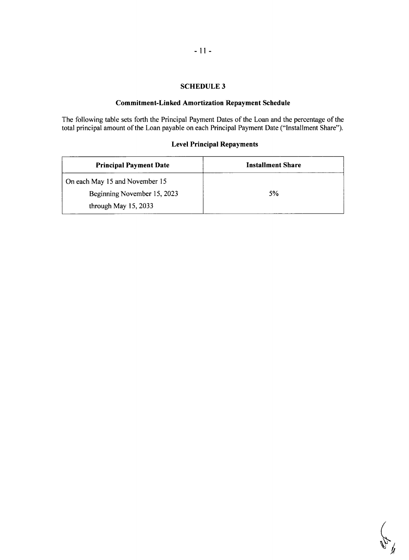## **SCHEDULE 3**

## **Commitment-Linked Amortization Repayment Schedule**

The following table sets forth the Principal Payment Dates of the Loan and the percentage of the total principal amount of the Loan payable on each Principal Payment Date ("Installment Share").

## **Level Principal Repayments**

| <b>Principal Payment Date</b>  | <b>Installment Share</b> |
|--------------------------------|--------------------------|
| On each May 15 and November 15 |                          |
| Beginning November 15, 2023    | 5%                       |
| through May $15, 2033$         |                          |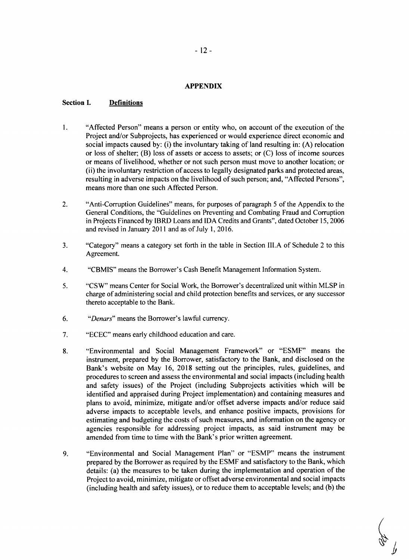#### **APPENDIX**

#### **Section I. Definitions**

- 1. "Affected Person" means a person or entity who, on account of the execution of the Project and/or Subprojects, has experienced or would experience direct economic and social impacts caused **by:** (i) the involuntary taking of land resulting in: **(A)** relocation or loss of shelter; (B) loss of assets or access to assets; or **(C)** loss of income sources or means of livelihood, whether or not such person must move to another location; or (ii) the involuntary restriction of access to legally designated parks and protected areas, resulting in adverse impacts on the livelihood of such person; and, "Affected Persons", means more than one such Affected Person.
- 2. "Anti-Corruption Guidelines" means, for purposes of paragraph **5** of the Appendix to the General Conditions, the "Guidelines on Preventing and Combating Fraud and Corruption in Projects Financed **by** IBRD Loans and **IDA** Credits and Grants", dated October **15, 2006** and revised in January 2011 and as of July **1, 2016.**
- **3.** "Category" means a category set forth in the table in Section **III.A** of Schedule 2 to this Agreement.
- 4. "CBMIS" means the Borrower's Cash Benefit Management Information System.
- **5.** "CSW" means Center for Social Work, the Borrower's decentralized unit within MLSP in charge of administering social and child protection benefits and services, or any successor thereto acceptable to the Bank.
- **6.** "Denars" means the Borrower's lawful currency.
- **7. "ECEC"** means early childhood education and care.
- **8.** "Environmental and Social Management Framework" or **"ESMF"** means the instrument, prepared **by** the Borrower, satisfactory to the Bank, and disclosed on the Bank's website on May **16, 2018** setting out the principles, rules, guidelines, and procedures to screen and assess the environmental and social impacts (including health and safety issues) of the Project (including Subprojects activities which will be identified and appraised during Project implementation) and containing measures and plans to avoid, minimize, mitigate and/or offset adverse impacts and/or reduce said adverse impacts to acceptable levels, and enhance positive impacts, provisions for estimating and budgeting the costs of such measures, and information on the agency or agencies responsible for addressing project impacts, as said instrument may be amended from time to time with the Bank's prior written agreement.
- **9.** "Environmental and Social Management Plan" or **"ESMP"** means the instrument prepared **by** the Borrower as required **by** the **ESMF** and satisfactory to the Bank, which details: (a) the measures to be taken during the implementation and operation of the Project to avoid, minimize, mitigate or offset adverse environmental and social impacts (including health and safety issues), or to reduce them to acceptable levels; and **(b)** the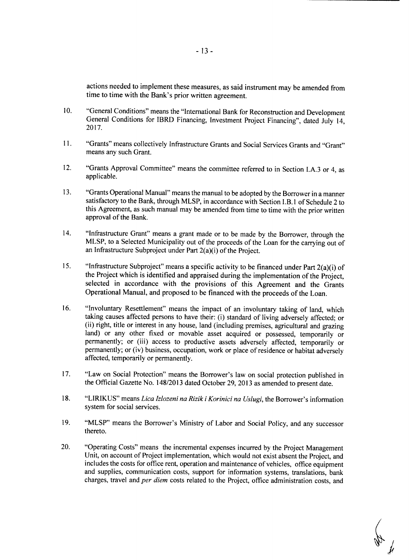actions needed to implement these measures, as said instrument may be amended from time to time with the Bank's prior written agreement.

- **10.** "General Conditions" means the "International Bank for Reconstruction and Development General Conditions for IBRD Financing, Investment Project Financing", dated July 14, **2017.**
- **11.** "Grants" means collectively Infrastructure Grants and Social Services Grants and "Grant" means any such Grant.
- 12. "Grants Approval Committee" means the committee referred to in Section **I.A.3** or 4, as applicable.
- **13.** "Grants Operational Manual" means the manual to be adopted **by** the Borrower in a manner satisfactory to the Bank, through MLSP, in accordance with Section I.B. **I** of Schedule 2 to this Agreement, as such manual may be amended from time to time with the prior written approval of the Bank.
- 14. "Infrastructure Grant" means a grant made or to be made **by** the Borrower, through the MLSP, to a Selected Municipality out of the proceeds of the Loan for the carrying out of an Infrastructure Subproject under Part 2(a)(i) of the Project.
- <sup>15.</sup> "Infrastructure Subproject" means a specific activity to be financed under Part 2(a)(i) of the Project which is identified and appraised during the implementation of the Project. selected in accordance with the provisions of this Agreement and the Grants Operational Manual, and proposed to be financed with the proceeds of the Loan.
- **16.** "Involuntary Resettlement" means the impact of an involuntary taking of land, which taking causes affected persons to have their: (i) standard of living adversely affected; or (ii) right, title or interest in any house, land (including premises, agricultural and grazing land) or any other fixed or movable asset acquired or possessed, temporarily or permanently; or (iii) access to productive assets adversely affected, temporarily or permanently; or (iv) business, occupation, work or place of residence or habitat adversely affected, temporarily or permanently.
- **17.** "Law on Social Protection" means the Borrower's law on social protection published in the Official Gazette No. 148/2013 dated October **29, 2013** as amended to present date.
- **18.** "LIRIKUS" means *Lica Izlozeni na Rizik i Korinici na Uslugi,* the Borrower's information system for social services.
- **19.** "MLSP" means the Borrower's Ministry of Labor and Social Policy, and any successor thereto.
- 20. "Operating Costs" means the incremental expenses incurred **by** the Project Management Unit, on account of Project implementation, which would not exist absent the Project, and includes the costs for office rent, operation and maintenance of vehicles, office equipment and supplies, communication costs, support for information systems, translations, bank charges, travel and *per diem* costs related to the Project, office administration costs, and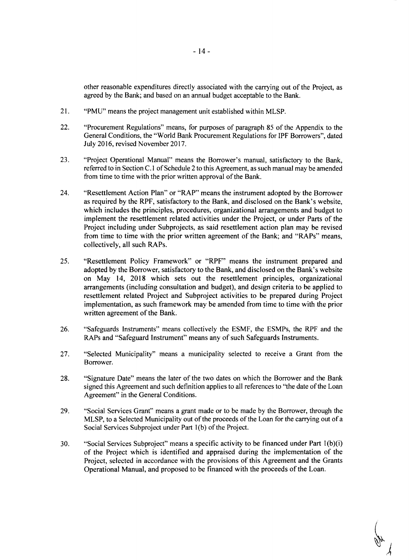other reasonable expenditures directly associated with the carrying out of the Project, as agreed **by** the Bank; and based on an annual budget acceptable to the Bank.

- 21. **"PMU"** means the project management unit established within MLSP.
- 22. "Procurement Regulations" means, for purposes of paragraph *85* of the Appendix to the General Conditions, the "World Bank Procurement Regulations for IPF Borrowers", dated July **2016,** revised November **2017.**
- **23.** "Project Operational Manual" means the Borrower's manual, satisfactory to the Bank, referred to in Section **C. I** of Schedule 2 to this Agreement, as such manual may be amended from time to time with the prior written approval of the Bank.
- 24. "Resettlement Action Plan" or "RAP" means the instrument adopted **by** the Borrower which includes the principles, procedures, organizational arrangements and budget to implement the resettlement related activities under the Project, or under Parts of the Project including under Subprojects, as said resettlement action plan may be revised from time to time with the prior written agreement of the Bank; and "RAPs" means, collectively, all such RAPs.
- *25.* "Resettlement Policy Framework" or "RPF" means the instrument prepared and adopted **by** the Borrower, satisfactory to the Bank, and disclosed on the Bank's website on May 14, **2018** which sets out the resettlement principles, organizational arrangements (including consultation and budget), and design criteria to be applied to resettlement related Project and Subproject activities to be prepared during Project implementation, as such framework may be amended from time to time with the prior written agreement of the Bank.
- **26.** "Safeguards Instruments" means collectively the **ESMF,** the ESMPs, the RPF and the RAPs and "Safeguard Instrument" means any of such Safeguards Instruments.
- **27.** "Selected Municipality" means a municipality selected to receive a Grant from the Borrower.
- **28.** "Signature Date" means the later of the two dates on which the Borrower and the Bank signed this Agreement and such definition applies to all references to "the date of the Loan Agreement" in the General Conditions.
- **29.** "Social Services Grant" means a grant made or to be made **by** the Borrower, through the MLSP, to a Selected Municipality out of the proceeds of the Loan for the carrying out of a Social Services Subproject under Part **1(b)** of the Project.
- **30.** "Social Services Subproject" means a specific activity to be financed under Part 1(b)(i) of the Project which is identified and appraised during the implementation of the Project, selected in accordance with the provisions of this Agreement and the Grants Operational Manual, and proposed to be financed with the proceeds of the Loan.